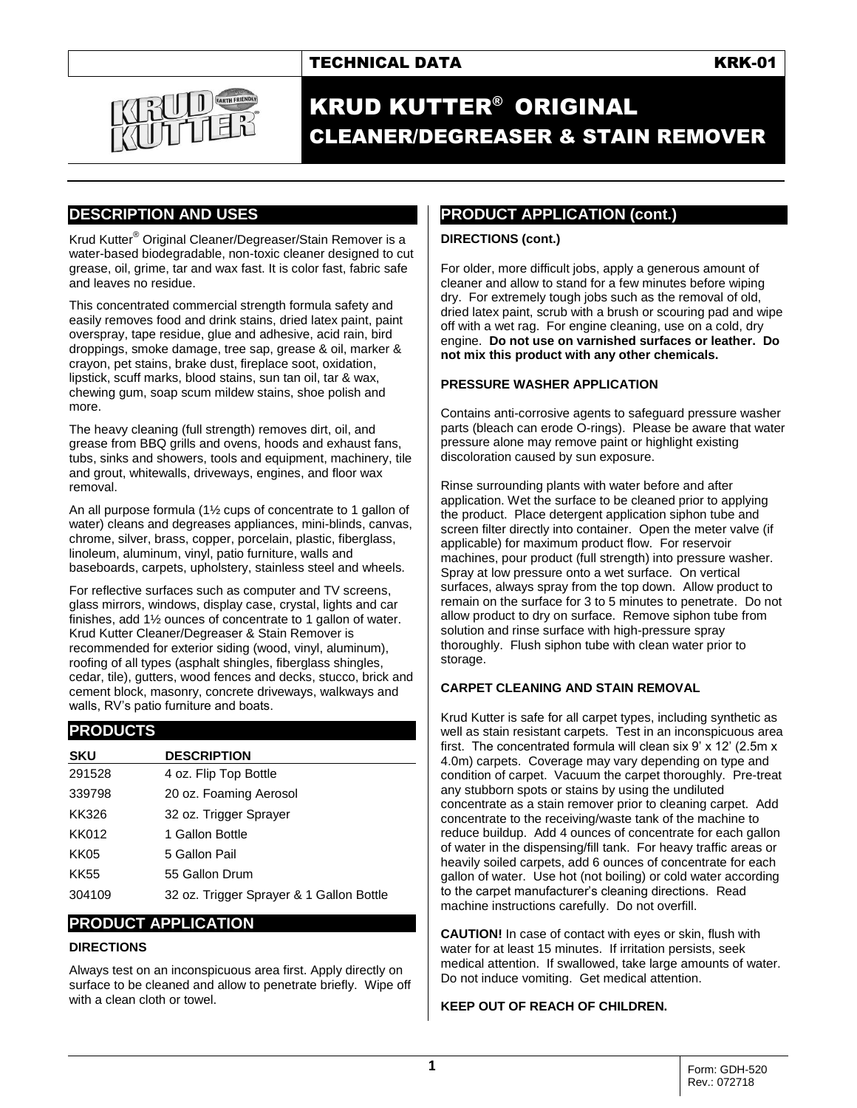# TECHNICAL DATA **KRK-01**



# KRUD KUTTER® ORIGINAL CLEANER/DEGREASER & STAIN REMOVER

## **DESCRIPTION AND USES**

Krud Kutter® Original Cleaner/Degreaser/Stain Remover is a water-based biodegradable, non-toxic cleaner designed to cut grease, oil, grime, tar and wax fast. It is color fast, fabric safe and leaves no residue.

This concentrated commercial strength formula safety and easily removes food and drink stains, dried latex paint, paint overspray, tape residue, glue and adhesive, acid rain, bird droppings, smoke damage, tree sap, grease & oil, marker & crayon, pet stains, brake dust, fireplace soot, oxidation, lipstick, scuff marks, blood stains, sun tan oil, tar & wax, chewing gum, soap scum mildew stains, shoe polish and more.

The heavy cleaning (full strength) removes dirt, oil, and grease from BBQ grills and ovens, hoods and exhaust fans, tubs, sinks and showers, tools and equipment, machinery, tile and grout, whitewalls, driveways, engines, and floor wax removal.

An all purpose formula (1½ cups of concentrate to 1 gallon of water) cleans and degreases appliances, mini-blinds, canvas, chrome, silver, brass, copper, porcelain, plastic, fiberglass, linoleum, aluminum, vinyl, patio furniture, walls and baseboards, carpets, upholstery, stainless steel and wheels.

For reflective surfaces such as computer and TV screens, glass mirrors, windows, display case, crystal, lights and car finishes, add 1½ ounces of concentrate to 1 gallon of water. Krud Kutter Cleaner/Degreaser & Stain Remover is recommended for exterior siding (wood, vinyl, aluminum), roofing of all types (asphalt shingles, fiberglass shingles, cedar, tile), gutters, wood fences and decks, stucco, brick and cement block, masonry, concrete driveways, walkways and walls, RV's patio furniture and boats.

# **PRODUCTS**

| <b>SKU</b> | <b>DESCRIPTION</b>                       |
|------------|------------------------------------------|
| 291528     | 4 oz. Flip Top Bottle                    |
| 339798     | 20 oz. Foaming Aerosol                   |
| KK326      | 32 oz. Trigger Sprayer                   |
| KK012      | 1 Gallon Bottle                          |
| KK05       | 5 Gallon Pail                            |
| KK55       | 55 Gallon Drum                           |
| 304109     | 32 oz. Trigger Sprayer & 1 Gallon Bottle |

## **PRODUCT APPLICATION**

## **DIRECTIONS**

Always test on an inconspicuous area first. Apply directly on surface to be cleaned and allow to penetrate briefly. Wipe off with a clean cloth or towel.

# **PRODUCT APPLICATION (cont.)**

#### **DIRECTIONS (cont.)**

For older, more difficult jobs, apply a generous amount of cleaner and allow to stand for a few minutes before wiping dry. For extremely tough jobs such as the removal of old, dried latex paint, scrub with a brush or scouring pad and wipe off with a wet rag. For engine cleaning, use on a cold, dry engine. **Do not use on varnished surfaces or leather. Do not mix this product with any other chemicals.** 

#### **PRESSURE WASHER APPLICATION**

Contains anti-corrosive agents to safeguard pressure washer parts (bleach can erode O-rings). Please be aware that water pressure alone may remove paint or highlight existing discoloration caused by sun exposure.

Rinse surrounding plants with water before and after application. Wet the surface to be cleaned prior to applying the product. Place detergent application siphon tube and screen filter directly into container. Open the meter valve (if applicable) for maximum product flow. For reservoir machines, pour product (full strength) into pressure washer. Spray at low pressure onto a wet surface. On vertical surfaces, always spray from the top down. Allow product to remain on the surface for 3 to 5 minutes to penetrate. Do not allow product to dry on surface. Remove siphon tube from solution and rinse surface with high-pressure spray thoroughly. Flush siphon tube with clean water prior to storage.

## **CARPET CLEANING AND STAIN REMOVAL**

Krud Kutter is safe for all carpet types, including synthetic as well as stain resistant carpets. Test in an inconspicuous area first. The concentrated formula will clean six 9' x 12' (2.5m x 4.0m) carpets. Coverage may vary depending on type and condition of carpet. Vacuum the carpet thoroughly. Pre-treat any stubborn spots or stains by using the undiluted concentrate as a stain remover prior to cleaning carpet. Add concentrate to the receiving/waste tank of the machine to reduce buildup. Add 4 ounces of concentrate for each gallon of water in the dispensing/fill tank. For heavy traffic areas or heavily soiled carpets, add 6 ounces of concentrate for each gallon of water. Use hot (not boiling) or cold water according to the carpet manufacturer's cleaning directions. Read machine instructions carefully. Do not overfill.

**CAUTION!** In case of contact with eyes or skin, flush with water for at least 15 minutes. If irritation persists, seek medical attention. If swallowed, take large amounts of water. Do not induce vomiting. Get medical attention.

## **KEEP OUT OF REACH OF CHILDREN.**